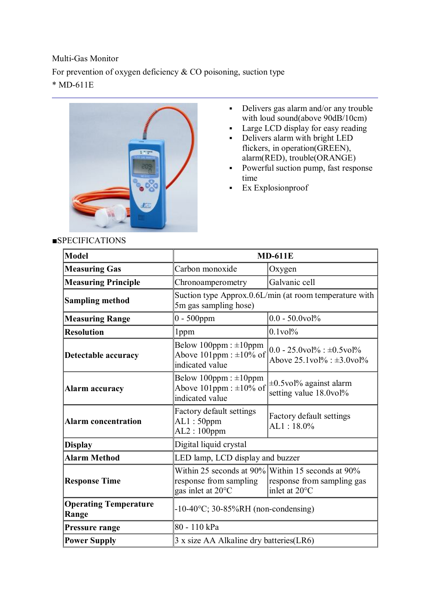Multi-Gas Monitor For prevention of oxygen deficiency & CO poisoning, suction type \* MD-611E



- Delivers gas alarm and/or any trouble with loud sound(above 90dB/10cm)
- Large LCD display for easy reading
- Delivers alarm with bright LED flickers, in operation(GREEN), alarm(RED), trouble(ORANGE)
- **Powerful suction pump, fast response** time
- **Ex Explosionproof**

| <b>SPECIFICATIONS</b> |
|-----------------------|
|-----------------------|

| <b>Model</b>                          | <b>MD-611E</b>                                                                    |                                                                                                  |
|---------------------------------------|-----------------------------------------------------------------------------------|--------------------------------------------------------------------------------------------------|
| <b>Measuring Gas</b>                  | Carbon monoxide                                                                   | Oxygen                                                                                           |
| <b>Measuring Principle</b>            | Chronoamperometry                                                                 | Galvanic cell                                                                                    |
| <b>Sampling method</b>                | Suction type Approx.0.6L/min (at room temperature with<br>5m gas sampling hose)   |                                                                                                  |
| <b>Measuring Range</b>                | $0 - 500$ ppm                                                                     | $0.0 - 50.0$ vol%                                                                                |
| <b>Resolution</b>                     | 1ppm                                                                              | $0.1$ vol $%$                                                                                    |
| Detectable accuracy                   | Below $100$ ppm : $\pm 10$ ppm<br>Above 101ppm : $\pm 10\%$ of<br>indicated value | $0.0 - 25.0$ vol%: $\pm 0.5$ vol%<br>Above $25.1$ vol $\%$ : $\pm 3.0$ vol $\%$                  |
| <b>Alarm accuracy</b>                 | Below $100$ ppm : $\pm 10$ ppm<br>Above 101ppm : $\pm 10\%$ of<br>indicated value | $\pm 0.5$ vol% against alarm<br>setting value 18.0vol%                                           |
| <b>Alarm concentration</b>            | Factory default settings<br>$AL1:50$ ppm<br>$AL2:100$ ppm                         | Factory default settings<br>AL1:18.0%                                                            |
| <b>Display</b>                        | Digital liquid crystal                                                            |                                                                                                  |
| <b>Alarm Method</b>                   | LED lamp, LCD display and buzzer                                                  |                                                                                                  |
| <b>Response Time</b>                  | response from sampling<br>gas inlet at 20°C                                       | Within 25 seconds at 90% Within 15 seconds at 90%<br>response from sampling gas<br>inlet at 20°C |
| <b>Operating Temperature</b><br>Range | $-10-40$ °C; 30-85%RH (non-condensing)                                            |                                                                                                  |
| Pressure range                        | 80 - 110 kPa                                                                      |                                                                                                  |
| <b>Power Supply</b>                   | 3 x size AA Alkaline dry batteries (LR6)                                          |                                                                                                  |